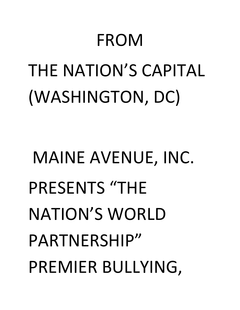# MAINE AVENUE, INC. PRESENTS "THE NATION'S WORLD PARTNERSHIP" PREMIER BULLYING,

## FROM THE NATION'S CAPITAL (WASHINGTON, DC)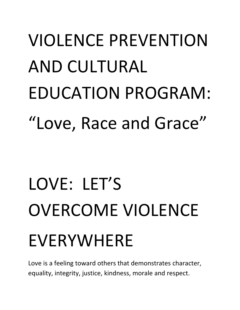### VIOLENCE PREVENTION AND CULTURAL EDUCATION PROGRAM: "Love, Race and Grace"

## LOVE: LET'S OVERCOME VIOLENCE EVERYWHERE

Love is a feeling toward others that demonstrates character, equality, integrity, justice, kindness, morale and respect.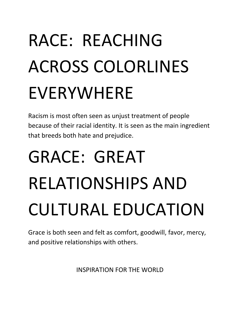### RACE: REACHING ACROSS COLORLINES EVERYWHERE

Racism is most often seen as unjust treatment of people because of their racial identity. It is seen as the main ingredient that breeds both hate and prejudice.

### GRACE: GREAT RELATIONSHIPS AND CULTURAL EDUCATION

Grace is both seen and felt as comfort, goodwill, favor, mercy, and positive relationships with others.

INSPIRATION FOR THE WORLD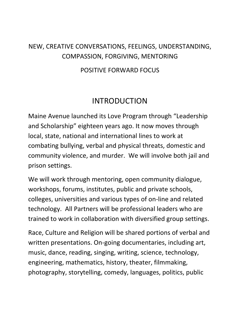#### NEW, CREATIVE CONVERSATIONS, FEELINGS, UNDERSTANDING, COMPASSION, FORGIVING, MENTORING

#### POSITIVE FORWARD FOCUS

### INTRODUCTION

Maine Avenue launched its Love Program through "Leadership and Scholarship" eighteen years ago. It now moves through local, state, national and international lines to work at combating bullying, verbal and physical threats, domestic and community violence, and murder. We will involve both jail and prison settings.

We will work through mentoring, open community dialogue, workshops, forums, institutes, public and private schools, colleges, universities and various types of on-line and related technology. All Partners will be professional leaders who are trained to work in collaboration with diversified group settings.

Race, Culture and Religion will be shared portions of verbal and written presentations. On-going documentaries, including art, music, dance, reading, singing, writing, science, technology, engineering, mathematics, history, theater, filmmaking, photography, storytelling, comedy, languages, politics, public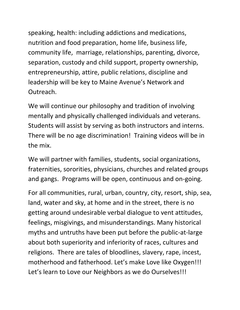speaking, health: including addictions and medications, nutrition and food preparation, home life, business life, community life, marriage, relationships, parenting, divorce, separation, custody and child support, property ownership, entrepreneurship, attire, public relations, discipline and leadership will be key to Maine Avenue's Network and Outreach.

We will continue our philosophy and tradition of involving mentally and physically challenged individuals and veterans. Students will assist by serving as both instructors and interns. There will be no age discrimination! Training videos will be in the mix.

We will partner with families, students, social organizations, fraternities, sororities, physicians, churches and related groups and gangs. Programs will be open, continuous and on-going.

For all communities, rural, urban, country, city, resort, ship, sea, land, water and sky, at home and in the street, there is no getting around undesirable verbal dialogue to vent attitudes, feelings, misgivings, and misunderstandings. Many historical myths and untruths have been put before the public-at-large about both superiority and inferiority of races, cultures and religions. There are tales of bloodlines, slavery, rape, incest, motherhood and fatherhood. Let's make Love like Oxygen!!! Let's learn to Love our Neighbors as we do Ourselves!!!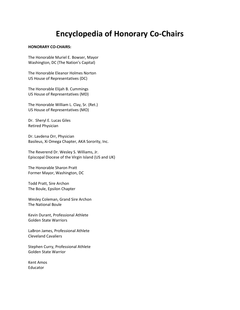#### **Encyclopedia of Honorary Co-Chairs**

#### **HONORARY CO-CHAIRS:**

The Honorable Muriel E. Bowser, Mayor Washington, DC (The Nation's Capital)

The Honorable Eleanor Holmes Norton US House of Representatives (DC)

The Honorable Elijah B. Cummings US House of Representatives (MD)

The Honorable William L. Clay, Sr. (Ret.) US House of Representatives (MO)

Dr. Sheryl E. Lucas Giles Retired Physician

Dr. Lavdena Orr, Physician Basileus, Xi Omega Chapter, AKA Sorority, Inc.

The Reverend Dr. Wesley S. Williams, Jr. Episcopal Diocese of the Virgin Island (US and UK)

The Honorable Sharon Pratt Former Mayor, Washington, DC

Todd Pratt, Sire Archon The Boule, Epsilon Chapter

Wesley Coleman, Grand Sire Archon The National Boule

Kevin Durant, Professional Athlete Golden State Warriors

LaBron James, Professional Athlete Cleveland Cavaliers

Stephen Curry, Professional Athlete Golden State Warrior

Kent Amos Educator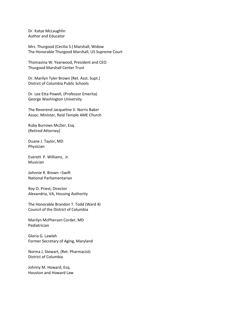Dr. Katye McLaughlin Author and Educator

Mrs. Thurgood (Cecilia S.) Marshall, Widow The Honorable Thurgood Marshall, US Supreme Court

Thomasina W. Yearwood, President and CEO Thurgood Marshall Center Trust

Dr. Marilyn Tyler Brown (Ret. Asst. Supt.) District of Columbia Public Schools

Dr. Lee Etta Powell, (Professor Emerita) George Washington University

The Reverend Jacqueline V. Norris Baker Assoc. Minister, Reid Temple AME Church

Ruby Burrows McZier, Esq. (Retired Attorney)

Duane J. Taylor, MD Physician

Everett P. Williams, Jr. Musician

Johnnie R. Brown –Swift National Parliamentarian

Roy O. Priest, Director Alexandria, VA, Housing Authority

The Honorable Brandon T. Todd (Ward 4) Council of the District of Columbia

Marilyn McPherson Corder, MD Pediatrician

Gloria G. Lawlah Former Secretary of Aging, Maryland

Norma J, Stewart, (Ret. Pharmacist) District of Columbia

Johnny M. Howard, Esq. Houston and Howard Law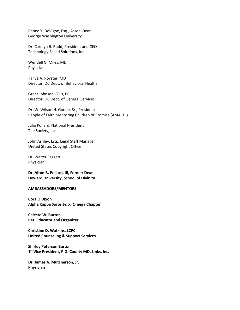Renee Y. DeVigne, Esq., Assoc. Dean George Washington University

Dr. Carolyn B. Rudd, President and CEO Technology Based Solutions, Inc.

Wendell G. Miles, MD Physician

Tanya A. Royster, MD Director, DC Dept. of Behavioral Health

Greer Johnson Gillis, PE Director, DC Dept. of General Services

Dr. W. Wilson H. Goode, Sr., President People of Faith Mentoring Children of Promise (AMACHI)

Julia Pollard, National President The Society, Inc.

John Ashley, Esq., Legal Staff Manager United States Copyright Office

Dr. Walter Faggett Physician

**Dr. Alton B. Pollard, III, Former Dean Howard University, School of Divinity** 

#### **AMBASSADORS/MENTORS**

**Cora O Dixon Alpha Kappa Sorority, Xi Omega Chapter**

**Celeste W. Burton Ret. Educator and Organizer** 

**Christine D. Watkins, LCPC United Counseling & Support Services**

**Shirley Peterson Barton 1 st Vice President, P.G. County MD, Links, Inc.**

**Dr. James A. Mutcherson, Jr. Physician**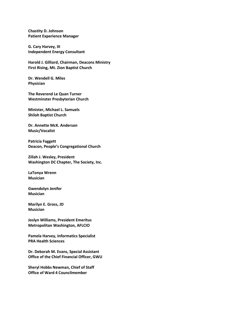**Chastity D. Johnson Patient Experience Manager**

**G. Cary Harvey, III Independent Energy Consultant**

**Harold J. Gilliard, Chairman, Deacons Ministry First Rising, Mt. Zion Baptist Church**

**Dr. Wendell G. Miles Physician**

**The Reverend Le Quan Turner Westminster Presbyterian Church**

**Minister, Michael L. Samuels Shiloh Baptist Church**

**Dr. Annette McK. Anderson Music/Vocalist**

**Patricia Faggett Deacon, People's Congregational Church**

**Zillah J. Wesley, President Washington DC Chapter, The Society, Inc.**

**LaTonya Wrenn Musician**

**Gwendolyn Jenifer Musician**

**Marilyn E. Gross, JD Musician**

**Joslyn Williams, President Emeritus Metropolitan Washington, AFLCIO**

**Pamela Harvey, Informatics Specialist PRA Health Sciences** 

**Dr. Deborah M. Evans, Special Assistant Office of the Chief Financial Officer, GWU**

**Sheryl Hobbs Newman, Chief of Staff Office of Ward 4 Councilmember**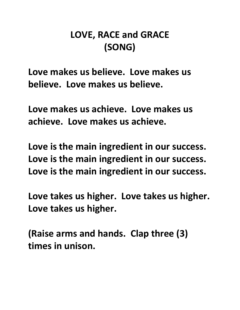### **LOVE, RACE and GRACE (SONG)**

**Love makes us believe. Love makes us believe. Love makes us believe.**

**Love makes us achieve. Love makes us achieve. Love makes us achieve.** 

**Love is the main ingredient in our success. Love is the main ingredient in our success. Love is the main ingredient in our success.**

**Love takes us higher. Love takes us higher. Love takes us higher.** 

**(Raise arms and hands. Clap three (3) times in unison.**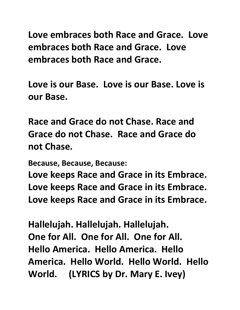**Love embraces both Race and Grace. Love embraces both Race and Grace. Love embraces both Race and Grace.**

**Love is our Base. Love is our Base. Love is our Base.**

**Race and Grace do not Chase. Race and Grace do not Chase. Race and Grace do not Chase.**

**Because, Because, Because:**

**Love keeps Race and Grace in its Embrace. Love keeps Race and Grace in its Embrace. Love keeps Race and Grace in its Embrace.**

**Hallelujah. Hallelujah. Hallelujah. One for All. One for All. One for All. Hello America. Hello America. Hello America. Hello World. Hello World. Hello World. (LYRICS by Dr. Mary E. Ivey)**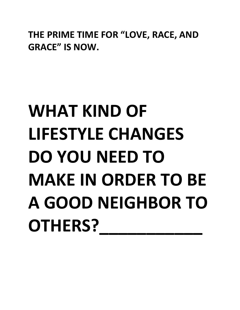**THE PRIME TIME FOR "LOVE, RACE, AND GRACE" IS NOW.**

### **WHAT KIND OF LIFESTYLE CHANGES DO YOU NEED TO MAKE IN ORDER TO BE A GOOD NEIGHBOR TO OTHERS?\_\_\_\_\_\_\_\_\_\_\_**